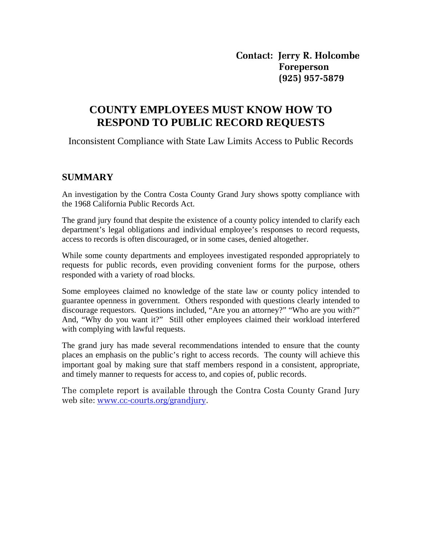**Contact: Jerry R. Holcombe Foreperson (925) 957-5879** 

# **COUNTY EMPLOYEES MUST KNOW HOW TO RESPOND TO PUBLIC RECORD REQUESTS**

Inconsistent Compliance with State Law Limits Access to Public Records

## **SUMMARY**

An investigation by the Contra Costa County Grand Jury shows spotty compliance with the 1968 California Public Records Act.

The grand jury found that despite the existence of a county policy intended to clarify each department's legal obligations and individual employee's responses to record requests, access to records is often discouraged, or in some cases, denied altogether.

While some county departments and employees investigated responded appropriately to requests for public records, even providing convenient forms for the purpose, others responded with a variety of road blocks.

Some employees claimed no knowledge of the state law or county policy intended to guarantee openness in government. Others responded with questions clearly intended to discourage requestors. Questions included, "Are you an attorney?" "Who are you with?" And, "Why do you want it?" Still other employees claimed their workload interfered with complying with lawful requests.

The grand jury has made several recommendations intended to ensure that the county places an emphasis on the public's right to access records. The county will achieve this important goal by making sure that staff members respond in a consistent, appropriate, and timely manner to requests for access to, and copies of, public records.

The complete report is available through the Contra Costa County Grand Jury web site: [www.cc-courts.org/grandjury.](http://www.cc-courts.org/grandjury)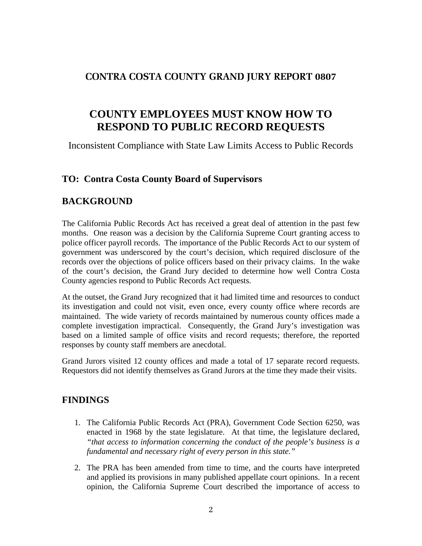# **CONTRA COSTA COUNTY GRAND JURY REPORT 0807**

# **COUNTY EMPLOYEES MUST KNOW HOW TO RESPOND TO PUBLIC RECORD REQUESTS**

Inconsistent Compliance with State Law Limits Access to Public Records

# **TO: Contra Costa County Board of Supervisors**

# **BACKGROUND**

The California Public Records Act has received a great deal of attention in the past few months. One reason was a decision by the California Supreme Court granting access to police officer payroll records. The importance of the Public Records Act to our system of government was underscored by the court's decision, which required disclosure of the records over the objections of police officers based on their privacy claims. In the wake of the court's decision, the Grand Jury decided to determine how well Contra Costa County agencies respond to Public Records Act requests.

At the outset, the Grand Jury recognized that it had limited time and resources to conduct its investigation and could not visit, even once, every county office where records are maintained. The wide variety of records maintained by numerous county offices made a complete investigation impractical. Consequently, the Grand Jury's investigation was based on a limited sample of office visits and record requests; therefore, the reported responses by county staff members are anecdotal.

Grand Jurors visited 12 county offices and made a total of 17 separate record requests. Requestors did not identify themselves as Grand Jurors at the time they made their visits.

### **FINDINGS**

- 1. The California Public Records Act (PRA), Government Code Section 6250, was enacted in 1968 by the state legislature. At that time, the legislature declared, *"that access to information concerning the conduct of the people's business is a fundamental and necessary right of every person in this state."*
- 2. The PRA has been amended from time to time, and the courts have interpreted and applied its provisions in many published appellate court opinions. In a recent opinion, the California Supreme Court described the importance of access to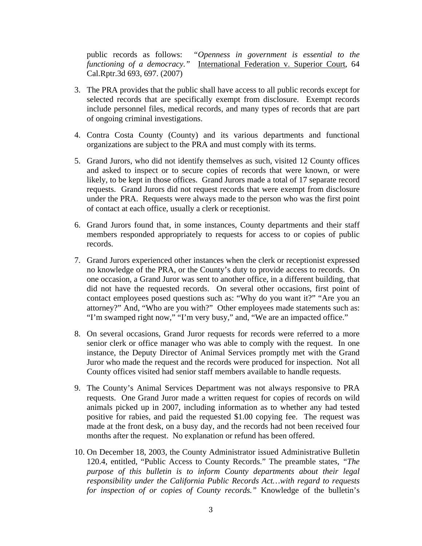public records as follows: *"Openness in government is essential to the functioning of a democracy."* International Federation v. Superior Court, 64 Cal.Rptr.3d 693, 697. (2007)

- 3. The PRA provides that the public shall have access to all public records except for selected records that are specifically exempt from disclosure. Exempt records include personnel files, medical records, and many types of records that are part of ongoing criminal investigations.
- 4. Contra Costa County (County) and its various departments and functional organizations are subject to the PRA and must comply with its terms.
- 5. Grand Jurors, who did not identify themselves as such, visited 12 County offices and asked to inspect or to secure copies of records that were known, or were likely, to be kept in those offices. Grand Jurors made a total of 17 separate record requests. Grand Jurors did not request records that were exempt from disclosure under the PRA. Requests were always made to the person who was the first point of contact at each office, usually a clerk or receptionist.
- 6. Grand Jurors found that, in some instances, County departments and their staff members responded appropriately to requests for access to or copies of public records.
- 7. Grand Jurors experienced other instances when the clerk or receptionist expressed no knowledge of the PRA, or the County's duty to provide access to records. On one occasion, a Grand Juror was sent to another office, in a different building, that did not have the requested records. On several other occasions, first point of contact employees posed questions such as: "Why do you want it?" "Are you an attorney?" And, "Who are you with?" Other employees made statements such as: "I'm swamped right now," "I'm very busy," and, "We are an impacted office."
- 8. On several occasions, Grand Juror requests for records were referred to a more senior clerk or office manager who was able to comply with the request. In one instance, the Deputy Director of Animal Services promptly met with the Grand Juror who made the request and the records were produced for inspection. Not all County offices visited had senior staff members available to handle requests.
- 9. The County's Animal Services Department was not always responsive to PRA requests. One Grand Juror made a written request for copies of records on wild animals picked up in 2007, including information as to whether any had tested positive for rabies, and paid the requested \$1.00 copying fee. The request was made at the front desk, on a busy day, and the records had not been received four months after the request. No explanation or refund has been offered.
- 10. On December 18, 2003, the County Administrator issued Administrative Bulletin 120.4, entitled, "Public Access to County Records." The preamble states, *"The purpose of this bulletin is to inform County departments about their legal responsibility under the California Public Records Act…with regard to requests for inspection of or copies of County records."* Knowledge of the bulletin's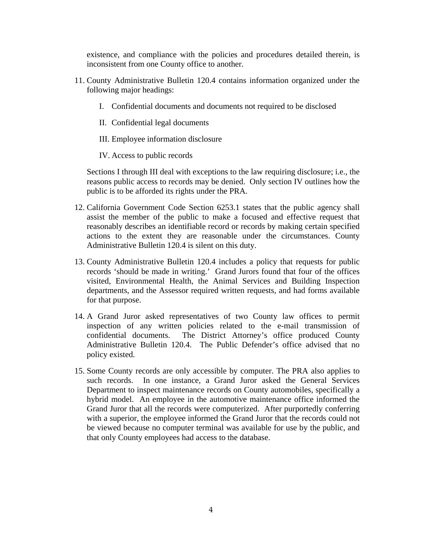existence, and compliance with the policies and procedures detailed therein, is inconsistent from one County office to another.

- 11. County Administrative Bulletin 120.4 contains information organized under the following major headings:
	- I. Confidential documents and documents not required to be disclosed
	- II. Confidential legal documents

III. Employee information disclosure

IV. Access to public records

 Sections I through III deal with exceptions to the law requiring disclosure; i.e., the reasons public access to records may be denied. Only section IV outlines how the public is to be afforded its rights under the PRA.

- 12. California Government Code Section 6253.1 states that the public agency shall assist the member of the public to make a focused and effective request that reasonably describes an identifiable record or records by making certain specified actions to the extent they are reasonable under the circumstances. County Administrative Bulletin 120.4 is silent on this duty.
- 13. County Administrative Bulletin 120.4 includes a policy that requests for public records 'should be made in writing.' Grand Jurors found that four of the offices visited, Environmental Health, the Animal Services and Building Inspection departments, and the Assessor required written requests, and had forms available for that purpose.
- 14. A Grand Juror asked representatives of two County law offices to permit inspection of any written policies related to the e-mail transmission of confidential documents. The District Attorney's office produced County Administrative Bulletin 120.4. The Public Defender's office advised that no policy existed.
- 15. Some County records are only accessible by computer. The PRA also applies to such records. In one instance, a Grand Juror asked the General Services Department to inspect maintenance records on County automobiles, specifically a hybrid model. An employee in the automotive maintenance office informed the Grand Juror that all the records were computerized. After purportedly conferring with a superior, the employee informed the Grand Juror that the records could not be viewed because no computer terminal was available for use by the public, and that only County employees had access to the database.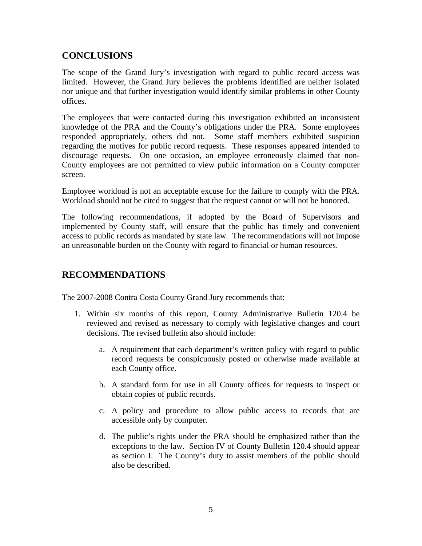# **CONCLUSIONS**

The scope of the Grand Jury's investigation with regard to public record access was limited. However, the Grand Jury believes the problems identified are neither isolated nor unique and that further investigation would identify similar problems in other County offices.

The employees that were contacted during this investigation exhibited an inconsistent knowledge of the PRA and the County's obligations under the PRA. Some employees responded appropriately, others did not. Some staff members exhibited suspicion regarding the motives for public record requests. These responses appeared intended to discourage requests. On one occasion, an employee erroneously claimed that non-County employees are not permitted to view public information on a County computer screen.

Employee workload is not an acceptable excuse for the failure to comply with the PRA. Workload should not be cited to suggest that the request cannot or will not be honored.

The following recommendations, if adopted by the Board of Supervisors and implemented by County staff, will ensure that the public has timely and convenient access to public records as mandated by state law. The recommendations will not impose an unreasonable burden on the County with regard to financial or human resources.

# **RECOMMENDATIONS**

The 2007-2008 Contra Costa County Grand Jury recommends that:

- 1. Within six months of this report, County Administrative Bulletin 120.4 be reviewed and revised as necessary to comply with legislative changes and court decisions. The revised bulletin also should include:
	- a. A requirement that each department's written policy with regard to public record requests be conspicuously posted or otherwise made available at each County office.
	- b. A standard form for use in all County offices for requests to inspect or obtain copies of public records.
	- c. A policy and procedure to allow public access to records that are accessible only by computer.
	- d. The public's rights under the PRA should be emphasized rather than the exceptions to the law. Section IV of County Bulletin 120.4 should appear as section I. The County's duty to assist members of the public should also be described.